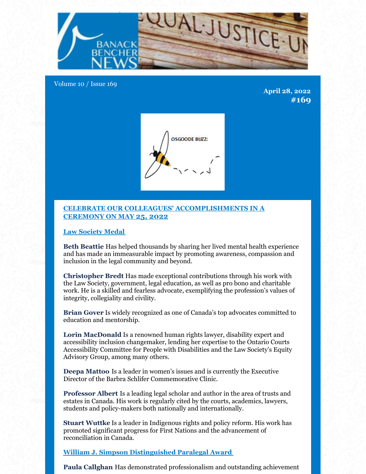

Volume 10 / Issue 169

**April 28, 2022 #169**



## **CELEBRATE OUR COLLEAGUES' ACCOMPLISHMENTS IN A CEREMONY ON MAY 25, 2022**

**Law Society Medal**

**Beth Beattie** Has helped thousands by sharing her lived mental health experience and has made an immeasurable impact by promoting awareness, compassion and inclusion in the legal community and beyond.

**Christopher Bredt** Has made exceptional contributions through his work with the Law Society, government, legal education, as well as pro bono and charitable work. He is a skilled and fearless advocate, exemplifying the profession's values of integrity, collegiality and civility.

**Brian Gover** Is widely recognized as one of Canada's top advocates committed to education and mentorship.

**Lorin MacDonald** Is a renowned human rights lawyer, disability expert and accessibility inclusion changemaker, lending her expertise to the Ontario Courts Accessibility Committee for People with Disabilities and the Law Society's Equity Advisory Group, among many others.

**Deepa Mattoo** Is a leader in women's issues and is currently the Executive Director of the Barbra Schlifer Commemorative Clinic.

**Professor Albert** Is a leading legal scholar and author in the area of trusts and estates in Canada. His work is regularly cited by the courts, academics, lawyers, students and policy-makers both nationally and internationally.

**Stuart Wuttke** Is a leader in Indigenous rights and policy reform. His work has promoted significant progress for First Nations and the advancement of reconciliation in Canada.

**William J. Simpson Distinguished Paralegal Award**

**Paula Callghan** Has demonstrated professionalism and outstanding achievement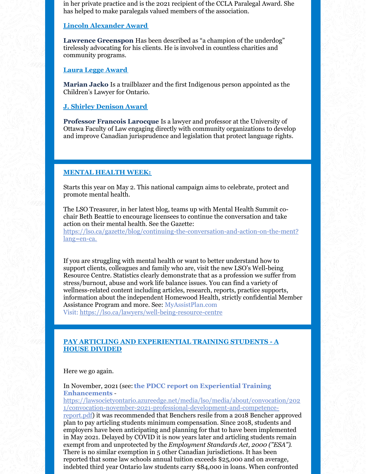in her private practice and is the 2021 recipient of the CCLA Paralegal Award. She has helped to make paralegals valued members of the association.

### **Lincoln Alexander Award**

**Lawrence Greenspon** Has been described as "a champion of the underdog" tirelessly advocating for his clients. He is involved in countless charities and community programs.

**Laura Legge Award**

**Marian Jacko** Is a trailblazer and the first Indigenous person appointed as the Children's Lawyer for Ontario.

**J. Shirley Denison Award**

**Professor Francois Larocque** Is a lawyer and professor at the University of Ottawa Faculty of Law engaging directly with community organizations to develop and improve Canadian jurisprudence and legislation that protect language rights.

### **MENTAL HEALTH WEEK:**

Starts this year on May 2. This national campaign aims to celebrate, protect and promote mental health.

The LSO Treasurer, in her latest blog, teams up with Mental Health Summit cochair Beth Beattie to encourage licensees to continue the conversation and take action on their mental health. See the Gazette:

https://lso.ca/gazette/blog/continuing-the-conversation-and-action-on-the-ment? lang=en-ca.

If you are struggling with mental health or want to better understand how to support clients, colleagues and family who are, visit the new LSO's Well-being Resource Centre. Statistics clearly demonstrate that as a profession we suffer from stress/burnout, abuse and work life balance issues. You can find a variety of wellness-related content including articles, research, reports, practice supports, information about the independent Homewood Health, strictly confidential Member Assistance Program and more. See: MyAssistPlan.com

Visit: https://lso.ca/lawyers/well-being-resource-centre

# **PAY ARTICLING AND EXPERIENTIAL TRAINING STUDENTS - A HOUSE DIVIDED**

Here we go again.

## In November, 2021 (see:**the PDCC report on Experiential Training Enhancements** -

https://lawsocietyontario.azureedge.net/media/lso/media/about/convocation/202 1/convocation-november-2021-professional-development-and-competence-

report.pdf) it was recommended that Benchers resile from a 2018 Bencher approved plan to pay articling students minimum compensation. Since 2018, students and employers have been anticipating and planning for that to have been implemented in May 2021. Delayed by COVID it is now years later and articling students remain exempt from and unprotected by the *Employment Standards Act, 2000 ("ESA")*. There is no similar exemption in 5 other Canadian jurisdictions. It has been reported that some law schools annual tuition exceeds \$25,000 and on average, indebted third year Ontario law students carry \$84,000 in loans. When confronted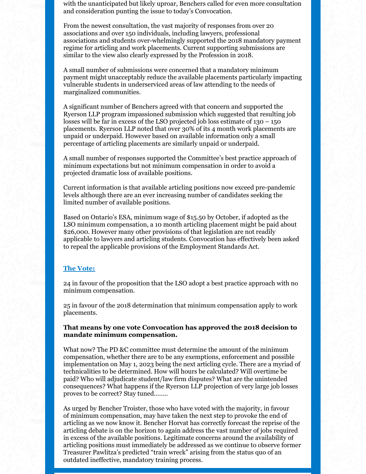with the unanticipated but likely uproar, Benchers called for even more consultation and consideration punting the issue to today's Convocation.

From the newest consultation, the vast majority of responses from over 20 associations and over 150 individuals, including lawyers, professional associations and students over-whelmingly supported the 2018 mandatory payment regime for articling and work placements. Current supporting submissions are similar to the view also clearly expressed by the Profession in 2018.

A small number of submissions were concerned that a mandatory minimum payment might unacceptably reduce the available placements particularly impacting vulnerable students in underserviced areas of law attending to the needs of marginalized communities.

A significant number of Benchers agreed with that concern and supported the Ryerson LLP program impassioned submission which suggested that resulting job losses will be far in excess of the LSO projected job loss estimate of  $130 - 150$ placements. Ryerson LLP noted that over 30% of its 4 month work placements are unpaid or underpaid. However based on available information only a small percentage of articling placements are similarly unpaid or underpaid.

A small number of responses supported the Committee's best practice approach of minimum expectations but not minimum compensation in order to avoid a projected dramatic loss of available positions.

Current information is that available articling positions now exceed pre-pandemic levels although there are an ever increasing number of candidates seeking the limited number of available positions.

Based on Ontario's ESA, minimum wage of \$15.50 by October, if adopted as the LSO minimum compensation, a 10 month articling placement might be paid about \$26,000. However many other provisions of that legislation are not readily applicable to lawyers and articling students. Convocation has effectively been asked to repeal the applicable provisions of the Employment Standards Act.

### **The Vote:**

24 in favour of the proposition that the LSO adopt a best practice approach with no minimum compensation.

25 in favour of the 2018 determination that minimum compensation apply to work placements.

### **That means by one vote Convocation has approved the 2018 decision to mandate minimum compensation.**

What now? The PD &C committee must determine the amount of the minimum compensation, whether there are to be any exemptions, enforcement and possible implementation on May 1, 2023 being the next articling cycle. There are a myriad of technicalities to be determined. How will hours be calculated? Will overtime be paid? Who will adjudicate student/law firm disputes? What are the unintended consequences? What happens if the Ryerson LLP projection of very large job losses proves to be correct? Stay tuned……..

As urged by Bencher Troister, those who have voted with the majority, in favour of minimum compensation, may have taken the next step to provoke the end of articling as we now know it. Bencher Horvat has correctly forecast the reprise of the articling debate is on the horizon to again address the vast number of jobs required in excess of the available positions. Legitimate concerns around the availability of articling positions must immediately be addressed as we continue to observe former Treasurer Pawlitza's predicted "train wreck" arising from the status quo of an outdated ineffective, mandatory training process.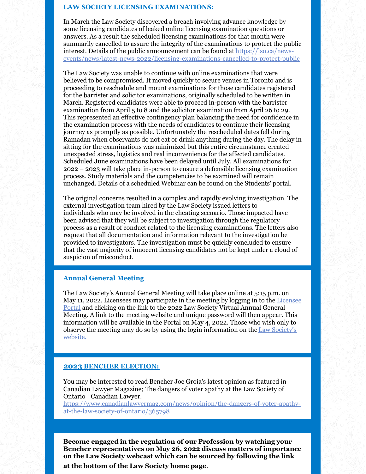### **LAW SOCIETY LICENSING EXAMINATIONS:**

In March the Law Society discovered a breach involving advance knowledge by some licensing candidates of leaked online licensing examination questions or answers. As a result the scheduled licensing examinations for that month were summarily cancelled to assure the integrity of the examinations to protect the public interest. Details of the public announcement can be found at https://lso.ca/newsevents/news/latest-news-2022/licensing-examinations-cancelled-to-protect-public

The Law Society was unable to continue with online examinations that were believed to be compromised. It moved quickly to secure venues in Toronto and is proceeding to reschedule and mount examinations for those candidates registered for the barrister and solicitor examinations, originally scheduled to be written in March. Registered candidates were able to proceed in-person with the barrister examination from April 5 to 8 and the solicitor examination from April 26 to 29. This represented an effective contingency plan balancing the need for confidence in the examination process with the needs of candidates to continue their licensing journey as promptly as possible. Unfortunately the rescheduled dates fell during Ramadan when observants do not eat or drink anything during the day. The delay in sitting for the examinations was minimized but this entire circumstance created unexpected stress, logistics and real inconvenience for the affected candidates. Scheduled June examinations have been delayed until July. All examinations for 2022 – 2023 will take place in-person to ensure a defensible licensing examination process. Study materials and the competencies to be examined will remain unchanged. Details of a scheduled Webinar can be found on the Students' portal.

The original concerns resulted in a complex and rapidly evolving investigation. The external investigation team hired by the Law Society issued letters to individuals who may be involved in the cheating scenario. Those impacted have been advised that they will be subject to investigation through the regulatory process as a result of conduct related to the licensing examinations. The letters also request that all documentation and information relevant to the investigation be provided to investigators. The investigation must be quickly concluded to ensure that the vast majority of innocent licensing candidates not be kept under a cloud of suspicion of misconduct.

## **Annual General Meeting**

The Law Society's Annual General Meeting will take place online at 5:15 p.m. on May 11, 2022. Licensees may participate in the meeting by logging in to the Licensee Portal and clicking on the link to the 2022 Law Society Virtual Annual General Meeting. A link to the meeting website and unique password will then appear. This information will be available in the Portal on May 4, 2022. Those who wish only to observe the meeting may do so by using the login information on the Law Society's website.

#### **2023 BENCHER ELECTION:**

You may be interested to read Bencher Joe Groia's latest opinion as featured in Canadian Lawyer Magazine; The dangers of voter apathy at the Law Society of Ontario | Canadian Lawyer.

https://www.canadianlawyermag.com/news/opinion/the-dangers-of-voter-apathyat-the-law-society-of-ontario/365798

**Become engaged in the regulation of our Profession by watching your Bencher representatives on May 26, 2022 discuss matters of importance on the Law Society webcast which can be sourced by following the link**

**at the bottom of the Law Society home page.**